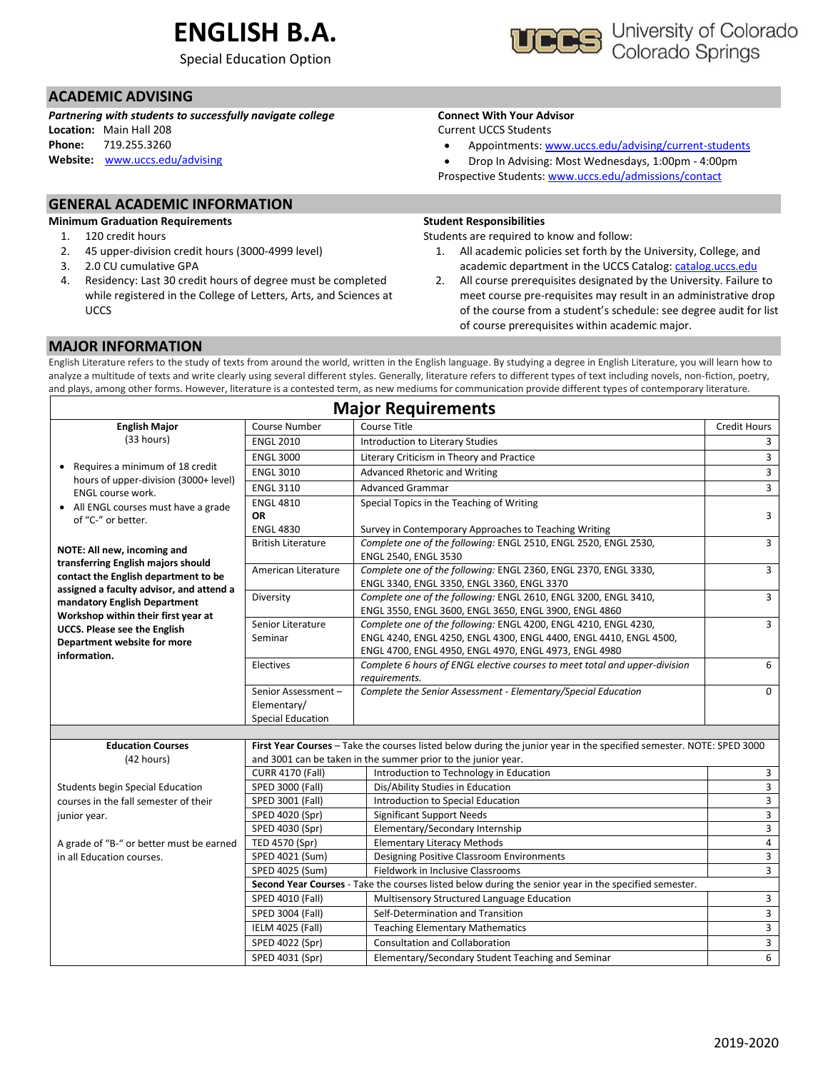# **ENGLISH B.A.**

Special Education Option

## **ACADEMIC ADVISING**

*Partnering with students to successfully navigate college* **Location:** Main Hall 208 **Phone:** 719.255.3260

**Website:** [www.uccs.edu/advising](http://www.uccs.edu/advising)

## **GENERAL ACADEMIC INFORMATION**

**Minimum Graduation Requirements**

- 1. 120 credit hours
- 2. 45 upper-division credit hours (3000-4999 level)
- 3. 2.0 CU cumulative GPA
- 4. Residency: Last 30 credit hours of degree must be completed while registered in the College of Letters, Arts, and Sciences at **UCCS**

**Connect With Your Advisor**

- Appointments: [www.uccs.edu/advising/current-students](http://www.uccs.edu/advising/current-students)
- Drop In Advising: Most Wednesdays, 1:00pm 4:00pm

### Prospective Students: [www.uccs.edu/admissions/contact](http://www.uccs.edu/admissions/contact)

#### **Student Responsibilities**

Students are required to know and follow:

- 1. All academic policies set forth by the University, College, and academic department in the UCCS Catalog[: catalog.uccs.edu](file://///columbia/dept/Success/Advising%20Guides/197%20Advising%20Guides/catalog.uccs.edu)
- 2. All course prerequisites designated by the University. Failure to meet course pre-requisites may result in an administrative drop of the course from a student's schedule: see degree audit for list of course prerequisites within academic major.

### **MAJOR INFORMATION**

English Literature refers to the study of texts from around the world, written in the English language. By studying a degree in English Literature, you will learn how to analyze a multitude of texts and write clearly using several different styles. Generally, literature refers to different types of text including novels, non-fiction, poetry, and plays, among other forms. However, literature is a contested term, as new mediums for communication provide different types of contemporary literature.

| <b>Major Requirements</b>                                                        |                                                                                                       |                                                                                                                                     |                         |  |  |  |  |  |
|----------------------------------------------------------------------------------|-------------------------------------------------------------------------------------------------------|-------------------------------------------------------------------------------------------------------------------------------------|-------------------------|--|--|--|--|--|
| <b>English Major</b>                                                             | Course Number                                                                                         | Course Title                                                                                                                        | Credit Hours            |  |  |  |  |  |
| (33 hours)                                                                       | <b>ENGL 2010</b>                                                                                      | Introduction to Literary Studies                                                                                                    | 3                       |  |  |  |  |  |
|                                                                                  | <b>ENGL 3000</b>                                                                                      | Literary Criticism in Theory and Practice                                                                                           | $\overline{3}$          |  |  |  |  |  |
| • Requires a minimum of 18 credit                                                | <b>ENGL 3010</b>                                                                                      | Advanced Rhetoric and Writing                                                                                                       | 3                       |  |  |  |  |  |
| hours of upper-division (3000+ level)<br><b>ENGL course work.</b>                | <b>ENGL 3110</b>                                                                                      | <b>Advanced Grammar</b>                                                                                                             | 3                       |  |  |  |  |  |
| • All ENGL courses must have a grade                                             | <b>ENGL 4810</b>                                                                                      | Special Topics in the Teaching of Writing                                                                                           |                         |  |  |  |  |  |
| of "C-" or better.                                                               | <b>OR</b>                                                                                             |                                                                                                                                     | 3                       |  |  |  |  |  |
|                                                                                  | <b>ENGL 4830</b>                                                                                      | Survey in Contemporary Approaches to Teaching Writing                                                                               |                         |  |  |  |  |  |
| NOTE: All new, incoming and<br>transferring English majors should                | <b>British Literature</b>                                                                             | Complete one of the following: ENGL 2510, ENGL 2520, ENGL 2530,<br>ENGL 2540, ENGL 3530                                             | $\overline{3}$          |  |  |  |  |  |
| contact the English department to be<br>assigned a faculty advisor, and attend a | American Literature                                                                                   | Complete one of the following: ENGL 2360, ENGL 2370, ENGL 3330,<br>ENGL 3340, ENGL 3350, ENGL 3360, ENGL 3370                       | 3                       |  |  |  |  |  |
| mandatory English Department                                                     | Diversity                                                                                             | Complete one of the following: ENGL 2610, ENGL 3200, ENGL 3410,                                                                     | 3                       |  |  |  |  |  |
| Workshop within their first year at                                              |                                                                                                       | ENGL 3550, ENGL 3600, ENGL 3650, ENGL 3900, ENGL 4860                                                                               |                         |  |  |  |  |  |
| <b>UCCS. Please see the English</b>                                              | Senior Literature                                                                                     | Complete one of the following: ENGL 4200, ENGL 4210, ENGL 4230,                                                                     | $\overline{3}$          |  |  |  |  |  |
| Department website for more                                                      | Seminar                                                                                               | ENGL 4240, ENGL 4250, ENGL 4300, ENGL 4400, ENGL 4410, ENGL 4500,                                                                   |                         |  |  |  |  |  |
| information.                                                                     | Electives                                                                                             | ENGL 4700, ENGL 4950, ENGL 4970, ENGL 4973, ENGL 4980<br>Complete 6 hours of ENGL elective courses to meet total and upper-division | 6                       |  |  |  |  |  |
|                                                                                  |                                                                                                       | requirements.                                                                                                                       |                         |  |  |  |  |  |
|                                                                                  | Senior Assessment-                                                                                    | Complete the Senior Assessment - Elementary/Special Education                                                                       | $\Omega$                |  |  |  |  |  |
|                                                                                  | Elementary/                                                                                           |                                                                                                                                     |                         |  |  |  |  |  |
|                                                                                  | <b>Special Education</b>                                                                              |                                                                                                                                     |                         |  |  |  |  |  |
|                                                                                  |                                                                                                       |                                                                                                                                     |                         |  |  |  |  |  |
| <b>Education Courses</b>                                                         |                                                                                                       | First Year Courses - Take the courses listed below during the junior year in the specified semester. NOTE: SPED 3000                |                         |  |  |  |  |  |
| (42 hours)                                                                       |                                                                                                       | and 3001 can be taken in the summer prior to the junior year.                                                                       |                         |  |  |  |  |  |
|                                                                                  | <b>CURR 4170 (Fall)</b>                                                                               | Introduction to Technology in Education                                                                                             | $\mathbf{3}$            |  |  |  |  |  |
| <b>Students begin Special Education</b><br>courses in the fall semester of their | SPED 3000 (Fall)                                                                                      | Dis/Ability Studies in Education<br>Introduction to Special Education                                                               | 3<br>$\overline{3}$     |  |  |  |  |  |
|                                                                                  | SPED 3001 (Fall)<br>SPED 4020 (Spr)                                                                   | <b>Significant Support Needs</b>                                                                                                    | $\mathbf{3}$            |  |  |  |  |  |
| junior year.                                                                     | SPED 4030 (Spr)                                                                                       | Elementary/Secondary Internship                                                                                                     | 3                       |  |  |  |  |  |
| A grade of "B-" or better must be earned                                         | TED 4570 (Spr)                                                                                        | <b>Elementary Literacy Methods</b>                                                                                                  | $\overline{\mathbf{4}}$ |  |  |  |  |  |
| in all Education courses.                                                        | SPED 4021 (Sum)                                                                                       | Designing Positive Classroom Environments                                                                                           | $\overline{3}$          |  |  |  |  |  |
|                                                                                  | SPED 4025 (Sum)                                                                                       | Fieldwork in Inclusive Classrooms                                                                                                   | 3                       |  |  |  |  |  |
|                                                                                  | Second Year Courses - Take the courses listed below during the senior year in the specified semester. |                                                                                                                                     |                         |  |  |  |  |  |
|                                                                                  | SPED 4010 (Fall)                                                                                      | Multisensory Structured Language Education                                                                                          | $\overline{3}$          |  |  |  |  |  |
|                                                                                  | SPED 3004 (Fall)                                                                                      | Self-Determination and Transition                                                                                                   | $\overline{3}$          |  |  |  |  |  |
|                                                                                  | IELM 4025 (Fall)                                                                                      | <b>Teaching Elementary Mathematics</b>                                                                                              | $\overline{3}$          |  |  |  |  |  |
|                                                                                  | SPED 4022 (Spr)                                                                                       | <b>Consultation and Collaboration</b>                                                                                               | $\overline{3}$          |  |  |  |  |  |
|                                                                                  | SPED 4031 (Spr)                                                                                       | Elementary/Secondary Student Teaching and Seminar                                                                                   | 6                       |  |  |  |  |  |



# Current UCCS Students